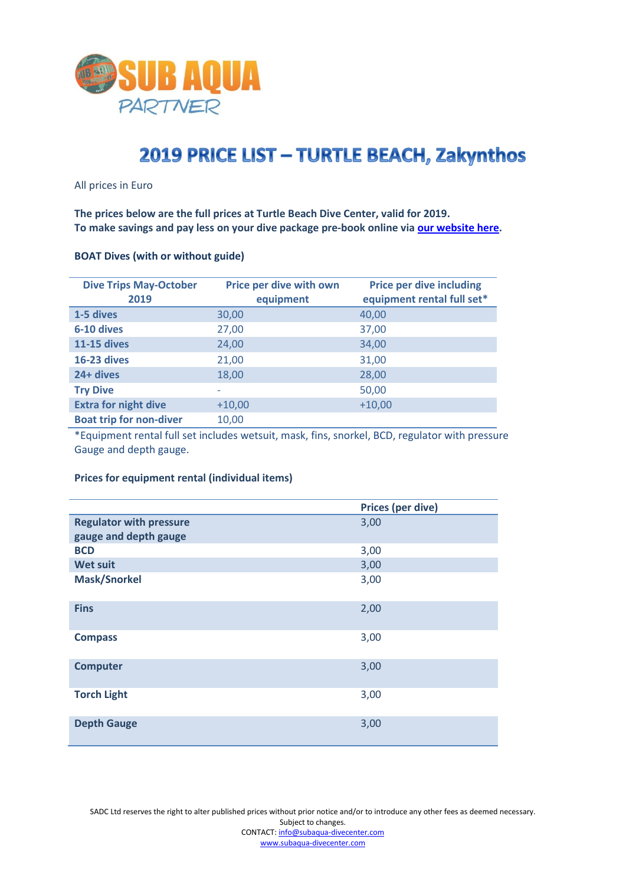

# 2019 PRICE LIST - TURTLE BEACH, Zakynthos

All prices in Euro

**The prices below are the full prices at Turtle Beach Dive Center, valid for 2019. To make savings and pay less on your dive package pre-book online via [our website here.](https://www.subaqua-divecenter.com/en/pricesandpackages-79.html)**

| <b>Dive Trips May-October</b><br>2019 | Price per dive with own<br>equipment | <b>Price per dive including</b><br>equipment rental full set* |
|---------------------------------------|--------------------------------------|---------------------------------------------------------------|
| 1-5 dives                             | 30,00                                | 40,00                                                         |
| 6-10 dives                            | 27,00                                | 37,00                                                         |
| <b>11-15 dives</b>                    | 24,00                                | 34,00                                                         |
| <b>16-23 dives</b>                    | 21,00                                | 31,00                                                         |
| 24+ dives                             | 18,00                                | 28,00                                                         |
| <b>Try Dive</b>                       |                                      | 50,00                                                         |
| <b>Extra for night dive</b>           | $+10,00$                             | $+10,00$                                                      |
| <b>Boat trip for non-diver</b>        | 10,00                                |                                                               |

#### **BOAT Dives (with or without guide)**

\*Equipment rental full set includes wetsuit, mask, fins, snorkel, BCD, regulator with pressure Gauge and depth gauge.

## **Prices for equipment rental (individual items)**

|                                | <b>Prices (per dive)</b> |
|--------------------------------|--------------------------|
| <b>Regulator with pressure</b> | 3,00                     |
| gauge and depth gauge          |                          |
| <b>BCD</b>                     | 3,00                     |
| <b>Wet suit</b>                | 3,00                     |
| <b>Mask/Snorkel</b>            | 3,00                     |
| <b>Fins</b>                    | 2,00                     |
| <b>Compass</b>                 | 3,00                     |
| <b>Computer</b>                | 3,00                     |
| <b>Torch Light</b>             | 3,00                     |
| <b>Depth Gauge</b>             | 3,00                     |

SADC Ltd reserves the right to alter published prices without prior notice and/or to introduce any other fees as deemed necessary. Subject to changes. CONTACT[: info@subaqua-divecenter.com](mailto:info@subaqua-divecenter.com) [www.subaqua-divecenter.com](http://www.subaqua-divecenter.com/)